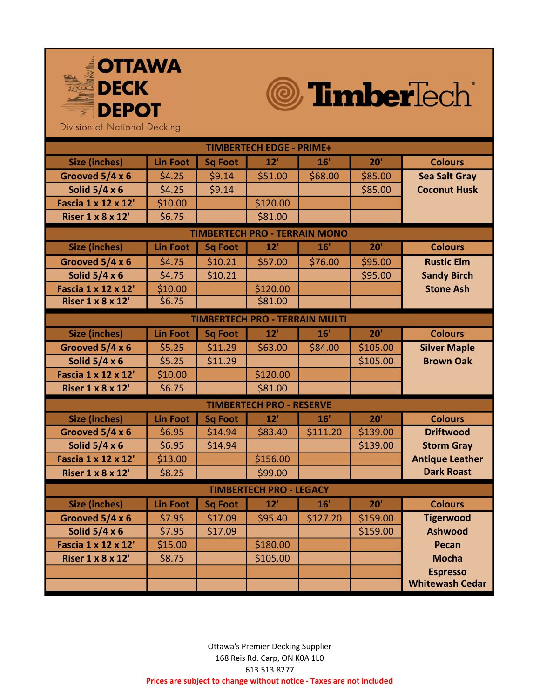



Division of National Decking

| <b>TIMBERTECH EDGE - PRIME+</b>       |                 |                |          |          |          |                        |  |  |
|---------------------------------------|-----------------|----------------|----------|----------|----------|------------------------|--|--|
| <b>Size (inches)</b>                  | <b>Lin Foot</b> | <b>Sq Foot</b> | 12'      | 16'      | 20'      | <b>Colours</b>         |  |  |
| Grooved 5/4 x 6                       | \$4.25          | \$9.14         | \$51.00  | \$68.00  | \$85.00  | <b>Sea Salt Gray</b>   |  |  |
| Solid $5/4 \times 6$                  | \$4.25          | \$9.14         |          |          | \$85.00  | <b>Coconut Husk</b>    |  |  |
| <b>Fascia 1 x 12 x 12'</b>            | \$10.00         |                | \$120.00 |          |          |                        |  |  |
| <b>Riser 1 x 8 x 12'</b>              | \$6.75          |                | \$81.00  |          |          |                        |  |  |
| <b>TIMBERTECH PRO - TERRAIN MONO</b>  |                 |                |          |          |          |                        |  |  |
| <b>Size (inches)</b>                  | <b>Lin Foot</b> | <b>Sq Foot</b> | 12'      | 16'      | 20'      | <b>Colours</b>         |  |  |
| Grooved 5/4 x 6                       | \$4.75          | \$10.21        | \$57.00  | \$76.00  | \$95.00  | <b>Rustic Elm</b>      |  |  |
| Solid $5/4 \times 6$                  | \$4.75          | \$10.21        |          |          | \$95.00  | <b>Sandy Birch</b>     |  |  |
| <b>Fascia 1 x 12 x 12'</b>            | \$10.00         |                | \$120.00 |          |          | <b>Stone Ash</b>       |  |  |
| <b>Riser 1 x 8 x 12'</b>              | \$6.75          |                | \$81.00  |          |          |                        |  |  |
| <b>TIMBERTECH PRO - TERRAIN MULTI</b> |                 |                |          |          |          |                        |  |  |
| <b>Size (inches)</b>                  | <b>Lin Foot</b> | <b>Sq Foot</b> | 12'      | 16'      | 20'      | <b>Colours</b>         |  |  |
| Grooved 5/4 x 6                       | \$5.25          | \$11.29        | \$63.00  | \$84.00  | \$105.00 | <b>Silver Maple</b>    |  |  |
| Solid $5/4 \times 6$                  | \$5.25          | \$11.29        |          |          | \$105.00 | <b>Brown Oak</b>       |  |  |
| Fascia 1 x 12 x 12'                   | \$10.00         |                | \$120.00 |          |          |                        |  |  |
| <b>Riser 1 x 8 x 12'</b>              | \$6.75          |                | \$81.00  |          |          |                        |  |  |
| <b>TIMBERTECH PRO - RESERVE</b>       |                 |                |          |          |          |                        |  |  |
| <b>Size (inches)</b>                  | <b>Lin Foot</b> | <b>Sq Foot</b> | 12'      | 16'      | 20'      | <b>Colours</b>         |  |  |
| Grooved 5/4 x 6                       | \$6.95          | \$14.94        | \$83.40  | \$111.20 | \$139.00 | <b>Driftwood</b>       |  |  |
| Solid $5/4 \times 6$                  | \$6.95          | \$14.94        |          |          | \$139.00 | <b>Storm Gray</b>      |  |  |
| Fascia 1 x 12 x 12'                   | \$13.00         |                | \$156.00 |          |          | <b>Antique Leather</b> |  |  |
| <b>Riser 1 x 8 x 12'</b>              | \$8.25          |                | \$99.00  |          |          | <b>Dark Roast</b>      |  |  |
| <b>TIMBERTECH PRO - LEGACY</b>        |                 |                |          |          |          |                        |  |  |
| <b>Size (inches)</b>                  | <b>Lin Foot</b> | <b>Sq Foot</b> | 12'      | 16'      | 20'      | <b>Colours</b>         |  |  |
| Grooved 5/4 x 6                       | \$7.95          | \$17.09        | \$95.40  | \$127.20 | \$159.00 | <b>Tigerwood</b>       |  |  |
| Solid $5/4 \times 6$                  | \$7.95          | \$17.09        |          |          | \$159.00 | <b>Ashwood</b>         |  |  |
| <b>Fascia 1 x 12 x 12'</b>            | \$15.00         |                | \$180.00 |          |          | <b>Pecan</b>           |  |  |
| <b>Riser 1 x 8 x 12'</b>              | \$8.75          |                | \$105.00 |          |          | <b>Mocha</b>           |  |  |
|                                       |                 |                |          |          |          | <b>Espresso</b>        |  |  |
|                                       |                 |                |          |          |          | <b>Whitewash Cedar</b> |  |  |